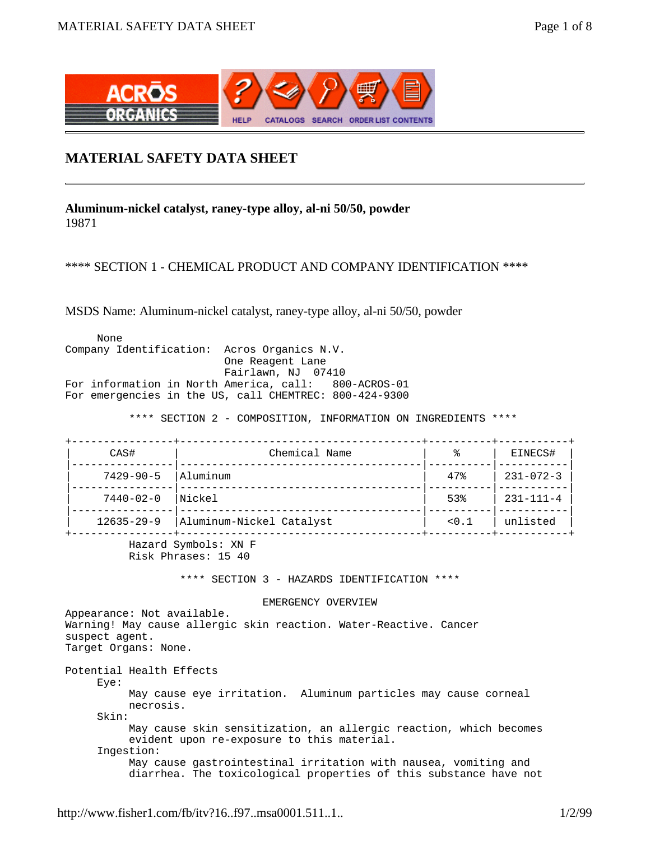

## **MATERIAL SAFETY DATA SHEET**

**Aluminum-nickel catalyst, raney-type alloy, al-ni 50/50, powder**  19871

## \*\*\*\* SECTION 1 - CHEMICAL PRODUCT AND COMPANY IDENTIFICATION \*\*\*\*

MSDS Name: Aluminum-nickel catalyst, raney-type alloy, al-ni 50/50, powder

 None Company Identification: Acros Organics N.V. One Reagent Lane Fairlawn, NJ 07410 For information in North America, call: 800-ACROS-01 For emergencies in the US, call CHEMTREC: 800-424-9300

\*\*\*\* SECTION 2 - COMPOSITION, INFORMATION ON INGREDIENTS \*\*\*\*

| CAS#             | Chemical Name            |       | EINECS#                |
|------------------|--------------------------|-------|------------------------|
| $7429 - 90 - 5$  | Aluminum                 | 47%   | $231 - 072 - 3$        |
| $7440 - 02 - 0$  | Nickel                   | 53%   | $231 - 111 - 4$        |
| $12635 - 29 - 9$ | Aluminum-Nickel Catalyst | < 0.1 | unlisted<br>+--------- |

 Hazard Symbols: XN F Risk Phrases: 15 40

\*\*\*\* SECTION 3 - HAZARDS IDENTIFICATION \*\*\*\*

EMERGENCY OVERVIEW

Appearance: Not available. Warning! May cause allergic skin reaction. Water-Reactive. Cancer suspect agent. Target Organs: None. Potential Health Effects Eye: May cause eye irritation. Aluminum particles may cause corneal necrosis. Skin: May cause skin sensitization, an allergic reaction, which becomes evident upon re-exposure to this material. Ingestion: May cause gastrointestinal irritation with nausea, vomiting and diarrhea. The toxicological properties of this substance have not

http://www.fisher1.com/fb/itv?16..f97..msa0001.511..1.. 1/2/99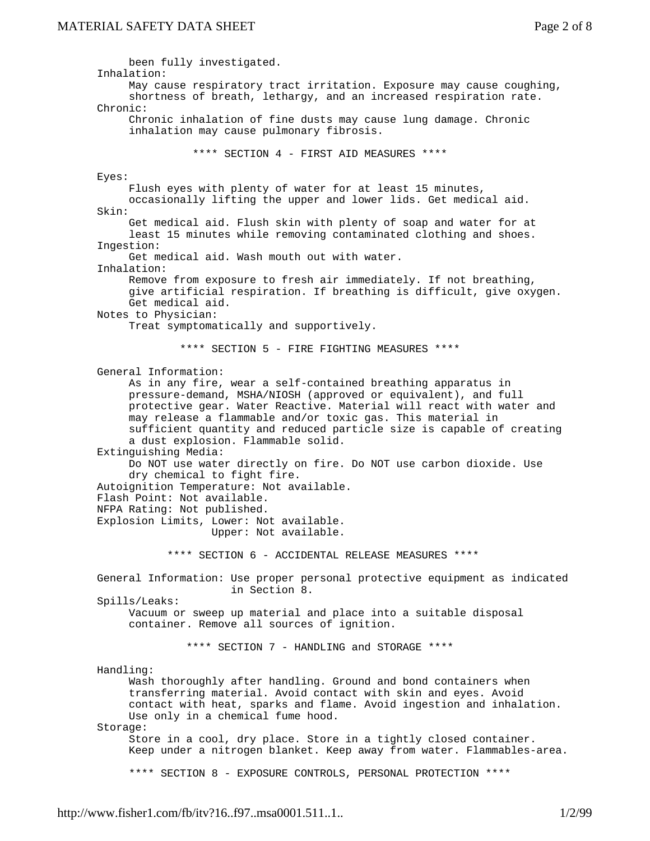been fully investigated. Inhalation: May cause respiratory tract irritation. Exposure may cause coughing, shortness of breath, lethargy, and an increased respiration rate. Chronic: Chronic inhalation of fine dusts may cause lung damage. Chronic inhalation may cause pulmonary fibrosis. \*\*\*\* SECTION 4 - FIRST AID MEASURES \*\*\*\* Eyes: Flush eyes with plenty of water for at least 15 minutes, occasionally lifting the upper and lower lids. Get medical aid. Skin: Get medical aid. Flush skin with plenty of soap and water for at least 15 minutes while removing contaminated clothing and shoes. Ingestion: Get medical aid. Wash mouth out with water. Inhalation: Remove from exposure to fresh air immediately. If not breathing, give artificial respiration. If breathing is difficult, give oxygen. Get medical aid. Notes to Physician: Treat symptomatically and supportively. \*\*\*\* SECTION 5 - FIRE FIGHTING MEASURES \*\*\*\* General Information: As in any fire, wear a self-contained breathing apparatus in pressure-demand, MSHA/NIOSH (approved or equivalent), and full protective gear. Water Reactive. Material will react with water and may release a flammable and/or toxic gas. This material in sufficient quantity and reduced particle size is capable of creating a dust explosion. Flammable solid. Extinguishing Media: Do NOT use water directly on fire. Do NOT use carbon dioxide. Use dry chemical to fight fire. Autoignition Temperature: Not available. Flash Point: Not available. NFPA Rating: Not published. Explosion Limits, Lower: Not available. Upper: Not available. \*\*\*\* SECTION 6 - ACCIDENTAL RELEASE MEASURES \*\*\*\* General Information: Use proper personal protective equipment as indicated in Section 8. Spills/Leaks: Vacuum or sweep up material and place into a suitable disposal container. Remove all sources of ignition. \*\*\*\* SECTION 7 - HANDLING and STORAGE \*\*\*\* Handling: Wash thoroughly after handling. Ground and bond containers when transferring material. Avoid contact with skin and eyes. Avoid contact with heat, sparks and flame. Avoid ingestion and inhalation. Use only in a chemical fume hood. Storage: Store in a cool, dry place. Store in a tightly closed container. Keep under a nitrogen blanket. Keep away from water. Flammables-area. \*\*\*\* SECTION 8 - EXPOSURE CONTROLS, PERSONAL PROTECTION \*\*\*\*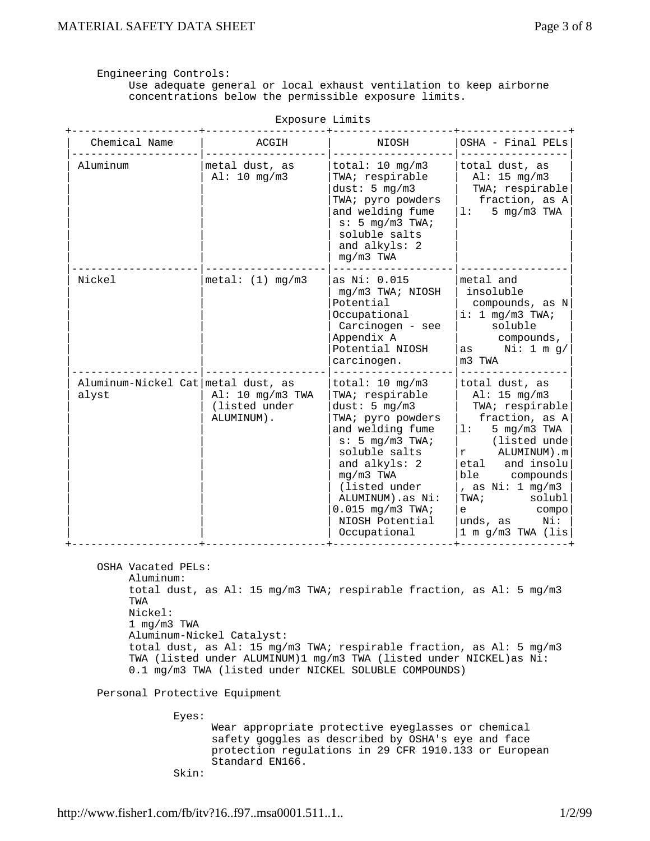Engineering Controls:

 Use adequate general or local exhaust ventilation to keep airborne concentrations below the permissible exposure limits.

| Exposure Limits                             |                                                 |                                                                                                                                                                                                                                                                                    |                                                                                                                                                                                                                                                                        |  |
|---------------------------------------------|-------------------------------------------------|------------------------------------------------------------------------------------------------------------------------------------------------------------------------------------------------------------------------------------------------------------------------------------|------------------------------------------------------------------------------------------------------------------------------------------------------------------------------------------------------------------------------------------------------------------------|--|
| Chemical Name                               | ACGIH                                           | NIOSH                                                                                                                                                                                                                                                                              | OSHA - Final PELs                                                                                                                                                                                                                                                      |  |
| Aluminum                                    | metal dust, as<br>$Al: 10 \, mg/m3$             | total: $10 \text{ mg/m3}$<br>TWA; respirable<br>dust: $5 \text{ mg/m3}$<br>TWA; pyro powders<br>and welding fume<br>$s: 5 \text{mq/m3 TWA}$<br>soluble salts<br>and alkyls: 2<br>$mq/m3$ TWA                                                                                       | total dust, as<br>Al: 15 mg/m3<br>TWA; respirable<br>fraction, as A<br>5 mg/m3 TWA<br>1:                                                                                                                                                                               |  |
| Nickel                                      | metal: (1) mg/m3                                | as Ni: 0.015<br>mg/m3 TWA; NIOSH<br>Potential<br>Occupational<br>Carcinogen - see<br>Appendix A<br>Potential NIOSH<br>carcinogen.                                                                                                                                                  | metal and<br>insoluble<br>compounds, as N<br>i: 1 mg/m3 TWA;<br>soluble<br>compounds,<br>Ni: 1 m g/<br>as a<br>m3 TWA                                                                                                                                                  |  |
| Aluminum-Nickel Cat metal dust, as<br>alyst | Al: 10 mg/m3 TWA<br>(listed under<br>ALUMINUM). | total: $10 \text{ mg/m3}$<br>TWA; respirable<br>dust: $5 \text{ mg/m3}$<br>TWA; pyro powders<br>and welding fume<br>s: 5 mg/m3 TWA;<br>soluble salts<br>and alkyls: 2<br>$mq/m3$ TWA<br>(listed under<br>ALUMINUM).as Ni:<br>$0.015$ mg/m3 TWA;<br>NIOSH Potential<br>Occupational | total dust, as<br>Al: 15 mg/m3<br>TWA; respirable<br>fraction, as A<br>5 $mg/m3$ TWA<br>1:<br>(listed unde<br>ALUMINUM).m<br>r<br>and insolu<br>etal<br>ble<br>compounds<br>, as $Ni: 1 mg/m3$<br>TWA;<br>solubl<br>compo<br>e<br>Ni:<br>unds, as<br>1 m g/m3 TWA (lis |  |

OSHA Vacated PELs:

 Aluminum: total dust, as Al: 15 mg/m3 TWA; respirable fraction, as Al: 5 mg/m3 TWA Nickel: 1 mg/m3 TWA Aluminum-Nickel Catalyst: total dust, as Al: 15 mg/m3 TWA; respirable fraction, as Al: 5 mg/m3 TWA (listed under ALUMINUM)1 mg/m3 TWA (listed under NICKEL)as Ni: 0.1 mg/m3 TWA (listed under NICKEL SOLUBLE COMPOUNDS)

+--------------------+-------------------+-------------------+-----------------+

Personal Protective Equipment

Eyes:

 Wear appropriate protective eyeglasses or chemical safety goggles as described by OSHA's eye and face protection regulations in 29 CFR 1910.133 or European Standard EN166.

Skin:

http://www.fisher1.com/fb/itv?16..f97..msa0001.511..1.. 1... 1/2/99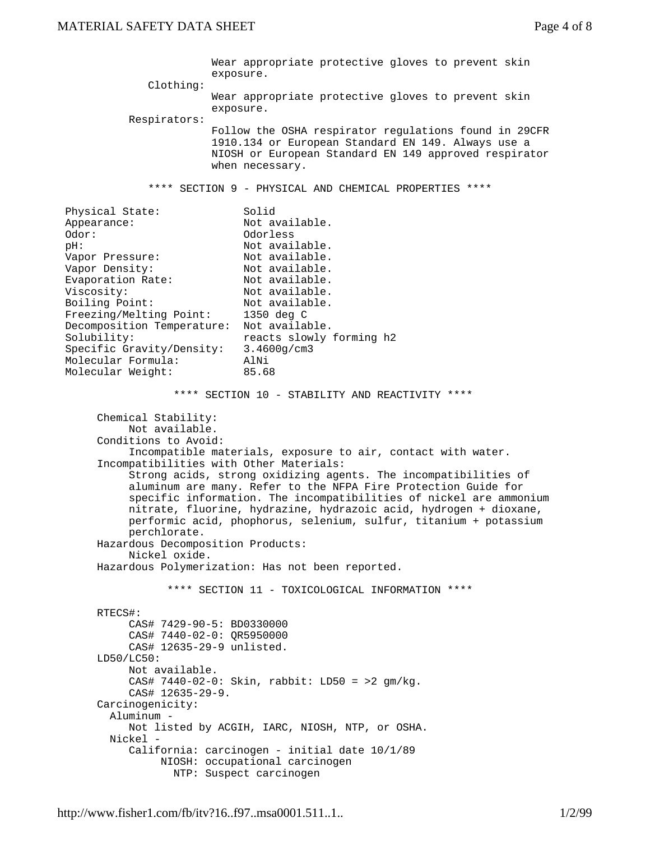Wear appropriate protective gloves to prevent skin exposure. Clothing: Wear appropriate protective gloves to prevent skin exposure. Respirators: Follow the OSHA respirator regulations found in 29CFR 1910.134 or European Standard EN 149. Always use a NIOSH or European Standard EN 149 approved respirator when necessary. \*\*\*\* SECTION 9 - PHYSICAL AND CHEMICAL PROPERTIES \*\*\*\* Physical State: Solid Appearance: Not available. Odor: Odorless pH:  $\begin{array}{ccc} \text{pH:} & \text{Not available.} \\ \text{Vapor Pressure:} & \text{Not available.} \end{array}$ pn.<br>Vapor Pressure: Vapor Density: Not available.<br>Evaporation Rate: Not available. Evaporation Rate: Viscosity: Not available. Boiling Point: Not available. Freezing/Melting Point: 1350 deg C Decomposition Temperature: Not available. Solubility: reacts slowly forming h2 Specific Gravity/Density: 3.4600g/cm3 Molecular Formula: AlNi Molecular Weight: 85.68 \*\*\*\* SECTION 10 - STABILITY AND REACTIVITY \*\*\*\* Chemical Stability: Not available. Conditions to Avoid: Incompatible materials, exposure to air, contact with water. Incompatibilities with Other Materials: Strong acids, strong oxidizing agents. The incompatibilities of aluminum are many. Refer to the NFPA Fire Protection Guide for specific information. The incompatibilities of nickel are ammonium nitrate, fluorine, hydrazine, hydrazoic acid, hydrogen + dioxane, performic acid, phophorus, selenium, sulfur, titanium + potassium perchlorate. Hazardous Decomposition Products: Nickel oxide. Hazardous Polymerization: Has not been reported. \*\*\*\* SECTION 11 - TOXICOLOGICAL INFORMATION \*\*\*\* RTECS#: CAS# 7429-90-5: BD0330000 CAS# 7440-02-0: QR5950000 CAS# 12635-29-9 unlisted. LD50/LC50: Not available. CAS# 7440-02-0: Skin, rabbit: LD50 = >2 gm/kg. CAS# 12635-29-9. Carcinogenicity: Aluminum - Not listed by ACGIH, IARC, NIOSH, NTP, or OSHA. Nickel - California: carcinogen - initial date 10/1/89 NIOSH: occupational carcinogen NTP: Suspect carcinogen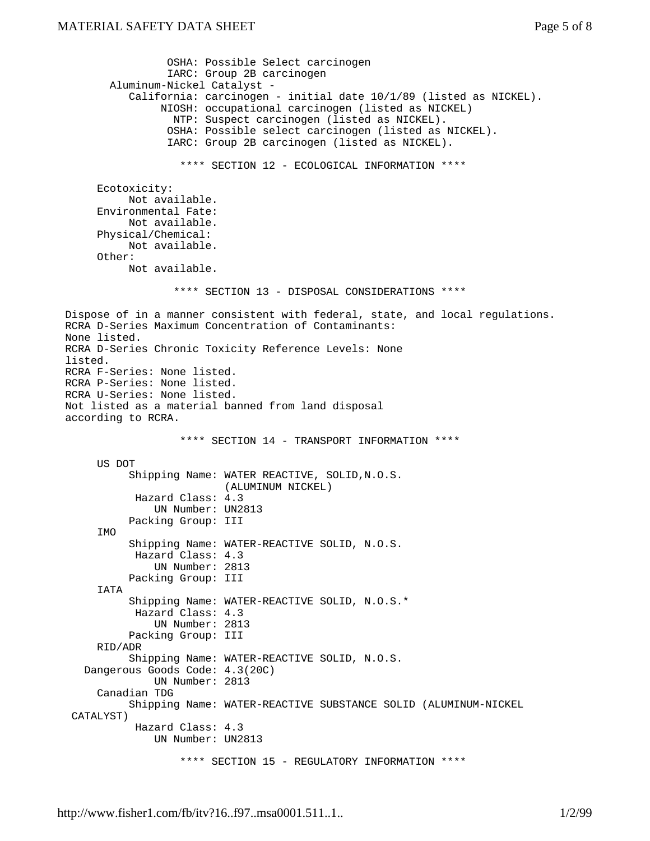```
 OSHA: Possible Select carcinogen
                  IARC: Group 2B carcinogen
        Aluminum-Nickel Catalyst -
           California: carcinogen - initial date 10/1/89 (listed as NICKEL).
                NIOSH: occupational carcinogen (listed as NICKEL)
                  NTP: Suspect carcinogen (listed as NICKEL).
                  OSHA: Possible select carcinogen (listed as NICKEL).
                  IARC: Group 2B carcinogen (listed as NICKEL).
                    **** SECTION 12 - ECOLOGICAL INFORMATION ****
      Ecotoxicity:
           Not available.
      Environmental Fate:
           Not available.
      Physical/Chemical:
           Not available.
      Other:
           Not available.
                   **** SECTION 13 - DISPOSAL CONSIDERATIONS ****
Dispose of in a manner consistent with federal, state, and local regulations.
RCRA D-Series Maximum Concentration of Contaminants:
None listed.
RCRA D-Series Chronic Toxicity Reference Levels: None
listed.
RCRA F-Series: None listed.
RCRA P-Series: None listed.
RCRA U-Series: None listed.
Not listed as a material banned from land disposal
according to RCRA.
                    **** SECTION 14 - TRANSPORT INFORMATION ****
      US DOT
           Shipping Name: WATER REACTIVE, SOLID,N.O.S.
                           (ALUMINUM NICKEL)
            Hazard Class: 4.3
               UN Number: UN2813
           Packing Group: III
     TMO
           Shipping Name: WATER-REACTIVE SOLID, N.O.S.
            Hazard Class: 4.3
               UN Number: 2813
           Packing Group: III
      IATA
           Shipping Name: WATER-REACTIVE SOLID, N.O.S.*
            Hazard Class: 4.3
               UN Number: 2813
           Packing Group: III
      RID/ADR
           Shipping Name: WATER-REACTIVE SOLID, N.O.S.
    Dangerous Goods Code: 4.3(20C)
               UN Number: 2813
      Canadian TDG
           Shipping Name: WATER-REACTIVE SUBSTANCE SOLID (ALUMINUM-NICKEL
  CATALYST)
            Hazard Class: 4.3
               UN Number: UN2813
                    **** SECTION 15 - REGULATORY INFORMATION ****
```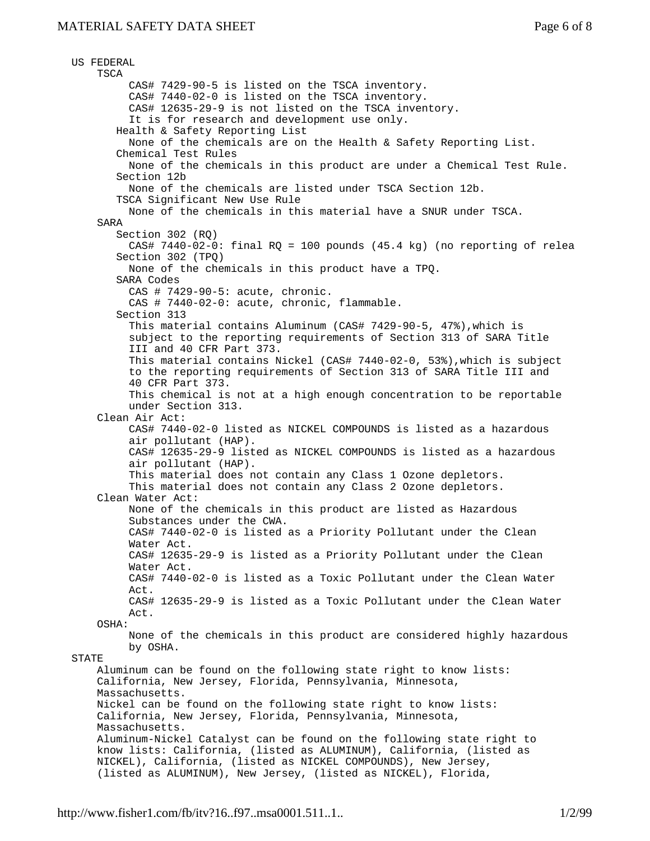```
 US FEDERAL
     TSCA
          CAS# 7429-90-5 is listed on the TSCA inventory.
          CAS# 7440-02-0 is listed on the TSCA inventory.
          CAS# 12635-29-9 is not listed on the TSCA inventory.
         It is for research and development use only.
        Health & Safety Reporting List
          None of the chemicals are on the Health & Safety Reporting List.
        Chemical Test Rules
          None of the chemicals in this product are under a Chemical Test Rule.
        Section 12b
          None of the chemicals are listed under TSCA Section 12b.
        TSCA Significant New Use Rule
          None of the chemicals in this material have a SNUR under TSCA.
     SARA
        Section 302 (RQ)
         CAS# 7440-02-0: final RQ = 100 pounds (45.4 kg) (no reporting of relea
        Section 302 (TPQ)
          None of the chemicals in this product have a TPQ.
        SARA Codes
          CAS # 7429-90-5: acute, chronic.
          CAS # 7440-02-0: acute, chronic, flammable.
        Section 313
          This material contains Aluminum (CAS# 7429-90-5, 47%),which is
          subject to the reporting requirements of Section 313 of SARA Title
          III and 40 CFR Part 373.
          This material contains Nickel (CAS# 7440-02-0, 53%),which is subject
          to the reporting requirements of Section 313 of SARA Title III and
          40 CFR Part 373.
          This chemical is not at a high enough concentration to be reportable
          under Section 313.
     Clean Air Act:
          CAS# 7440-02-0 listed as NICKEL COMPOUNDS is listed as a hazardous
          air pollutant (HAP).
          CAS# 12635-29-9 listed as NICKEL COMPOUNDS is listed as a hazardous
          air pollutant (HAP).
          This material does not contain any Class 1 Ozone depletors.
          This material does not contain any Class 2 Ozone depletors.
     Clean Water Act:
          None of the chemicals in this product are listed as Hazardous
          Substances under the CWA.
          CAS# 7440-02-0 is listed as a Priority Pollutant under the Clean
          Water Act.
          CAS# 12635-29-9 is listed as a Priority Pollutant under the Clean
          Water Act.
          CAS# 7440-02-0 is listed as a Toxic Pollutant under the Clean Water
          Act.
          CAS# 12635-29-9 is listed as a Toxic Pollutant under the Clean Water
          Act.
     OSHA:
          None of the chemicals in this product are considered highly hazardous
          by OSHA.
 STATE
     Aluminum can be found on the following state right to know lists:
     California, New Jersey, Florida, Pennsylvania, Minnesota,
     Massachusetts.
     Nickel can be found on the following state right to know lists:
     California, New Jersey, Florida, Pennsylvania, Minnesota,
     Massachusetts.
     Aluminum-Nickel Catalyst can be found on the following state right to
     know lists: California, (listed as ALUMINUM), California, (listed as
     NICKEL), California, (listed as NICKEL COMPOUNDS), New Jersey,
     (listed as ALUMINUM), New Jersey, (listed as NICKEL), Florida,
```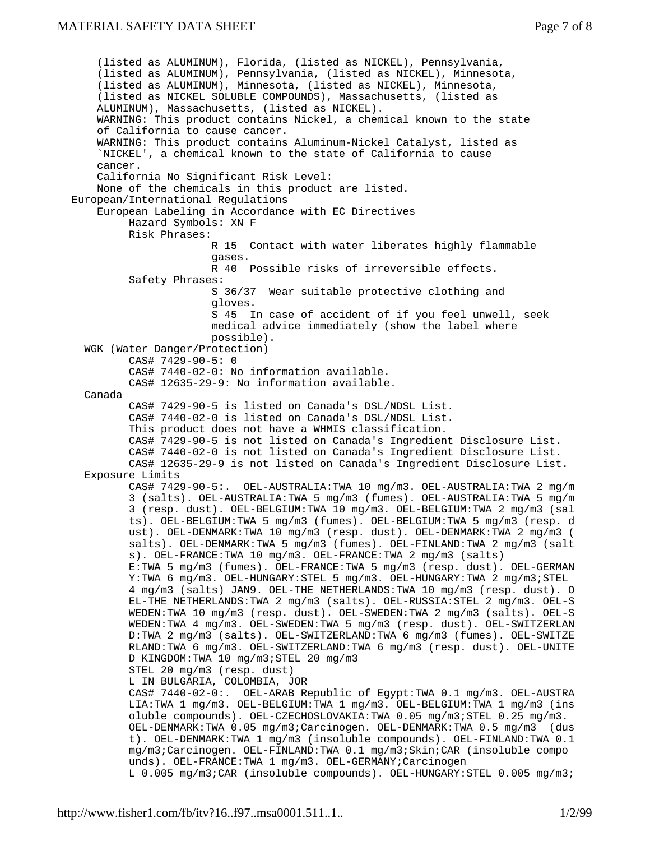(listed as ALUMINUM), Florida, (listed as NICKEL), Pennsylvania, (listed as ALUMINUM), Pennsylvania, (listed as NICKEL), Minnesota, (listed as ALUMINUM), Minnesota, (listed as NICKEL), Minnesota, (listed as NICKEL SOLUBLE COMPOUNDS), Massachusetts, (listed as ALUMINUM), Massachusetts, (listed as NICKEL). WARNING: This product contains Nickel, a chemical known to the state of California to cause cancer. WARNING: This product contains Aluminum-Nickel Catalyst, listed as `NICKEL', a chemical known to the state of California to cause cancer. California No Significant Risk Level: None of the chemicals in this product are listed. European/International Regulations European Labeling in Accordance with EC Directives Hazard Symbols: XN F Risk Phrases: R 15 Contact with water liberates highly flammable gases. R 40 Possible risks of irreversible effects. Safety Phrases: S 36/37 Wear suitable protective clothing and gloves. S 45 In case of accident of if you feel unwell, seek medical advice immediately (show the label where possible). WGK (Water Danger/Protection) CAS# 7429-90-5: 0 CAS# 7440-02-0: No information available. CAS# 12635-29-9: No information available. Canada CAS# 7429-90-5 is listed on Canada's DSL/NDSL List. CAS# 7440-02-0 is listed on Canada's DSL/NDSL List. This product does not have a WHMIS classification. CAS# 7429-90-5 is not listed on Canada's Ingredient Disclosure List. CAS# 7440-02-0 is not listed on Canada's Ingredient Disclosure List. CAS# 12635-29-9 is not listed on Canada's Ingredient Disclosure List. Exposure Limits CAS# 7429-90-5:. OEL-AUSTRALIA:TWA 10 mg/m3. OEL-AUSTRALIA:TWA 2 mg/m 3 (salts). OEL-AUSTRALIA:TWA 5 mg/m3 (fumes). OEL-AUSTRALIA:TWA 5 mg/m 3 (resp. dust). OEL-BELGIUM:TWA 10 mg/m3. OEL-BELGIUM:TWA 2 mg/m3 (sal ts). OEL-BELGIUM:TWA 5 mg/m3 (fumes). OEL-BELGIUM:TWA 5 mg/m3 (resp. d ust). OEL-DENMARK:TWA 10 mg/m3 (resp. dust). OEL-DENMARK:TWA 2 mg/m3 ( salts). OEL-DENMARK:TWA 5 mg/m3 (fumes). OEL-FINLAND:TWA 2 mg/m3 (salt s). OEL-FRANCE:TWA 10 mg/m3. OEL-FRANCE:TWA 2 mg/m3 (salts) E:TWA 5 mg/m3 (fumes). OEL-FRANCE:TWA 5 mg/m3 (resp. dust). OEL-GERMAN Y:TWA 6 mg/m3. OEL-HUNGARY:STEL 5 mg/m3. OEL-HUNGARY:TWA 2 mg/m3;STEL 4 mg/m3 (salts) JAN9. OEL-THE NETHERLANDS:TWA 10 mg/m3 (resp. dust). O EL-THE NETHERLANDS:TWA 2 mg/m3 (salts). OEL-RUSSIA:STEL 2 mg/m3. OEL-S WEDEN:TWA 10 mg/m3 (resp. dust). OEL-SWEDEN:TWA 2 mg/m3 (salts). OEL-S WEDEN:TWA 4 mg/m3. OEL-SWEDEN:TWA 5 mg/m3 (resp. dust). OEL-SWITZERLAN D:TWA 2 mg/m3 (salts). OEL-SWITZERLAND:TWA 6 mg/m3 (fumes). OEL-SWITZE RLAND:TWA 6 mg/m3. OEL-SWITZERLAND:TWA 6 mg/m3 (resp. dust). OEL-UNITE D KINGDOM:TWA 10 mg/m3;STEL 20 mg/m3 STEL 20 mg/m3 (resp. dust) L IN BULGARIA, COLOMBIA, JOR CAS# 7440-02-0:. OEL-ARAB Republic of Egypt:TWA 0.1 mg/m3. OEL-AUSTRA LIA:TWA 1 mg/m3. OEL-BELGIUM:TWA 1 mg/m3. OEL-BELGIUM:TWA 1 mg/m3 (ins oluble compounds). OEL-CZECHOSLOVAKIA:TWA 0.05 mg/m3;STEL 0.25 mg/m3. OEL-DENMARK:TWA 0.05 mg/m3;Carcinogen. OEL-DENMARK:TWA 0.5 mg/m3 (dus t). OEL-DENMARK:TWA 1 mg/m3 (insoluble compounds). OEL-FINLAND:TWA 0.1 mg/m3;Carcinogen. OEL-FINLAND:TWA 0.1 mg/m3;Skin;CAR (insoluble compo unds). OEL-FRANCE:TWA 1 mg/m3. OEL-GERMANY; Carcinogen L 0.005 mg/m3;CAR (insoluble compounds). OEL-HUNGARY:STEL 0.005 mg/m3;